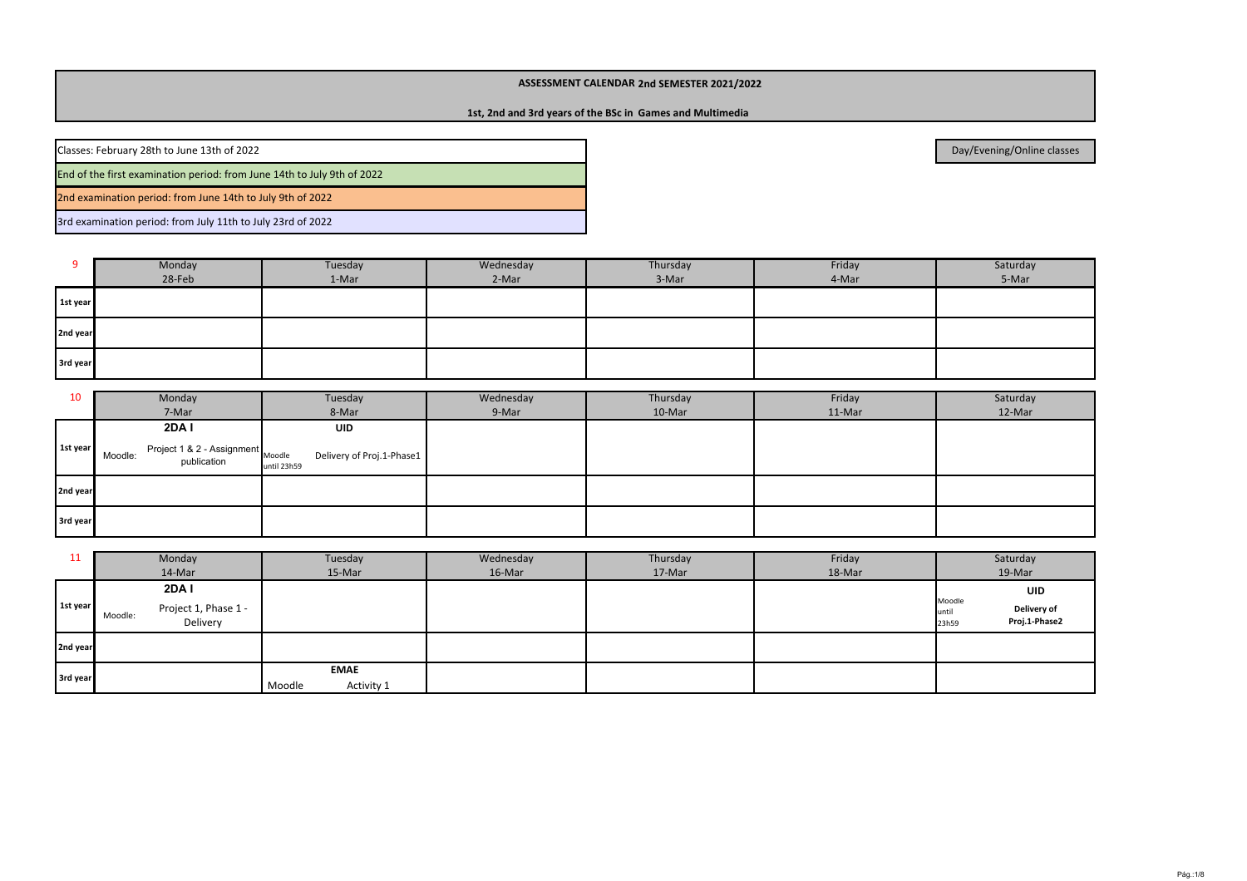#### **1st, 2nd and 3rd years of the BSc in Games and Multimedia**

Classes: February 28th to June 13th of 2022

End of the first examination period: from June 14th to July 9th of 2022

2nd examination period: from June 14th to July 9th of 2022

3rd examination period: from July 11th to July 23rd of 2022

|          | Monday | Tuesday | Wednesday | Thursday | Friday | Saturday |  |
|----------|--------|---------|-----------|----------|--------|----------|--|
|          | 28-Feb | 1-Mar   | 2-Mar     | 3-Mar    | 4-Mar  | 5-Mar    |  |
| 1st year |        |         |           |          |        |          |  |
| 2nd year |        |         |           |          |        |          |  |
| 3rd year |        |         |           |          |        |          |  |

| 10       | Monday<br>Tuesday                                                        |                                          | Wednesday<br>Thursday |        | Friday | Saturday |
|----------|--------------------------------------------------------------------------|------------------------------------------|-----------------------|--------|--------|----------|
|          | 7-Mar                                                                    | 8-Mar                                    | 9-Mar                 | 10-Mar | 11-Mar | 12-Mar   |
|          | 2DA I                                                                    | <b>UID</b>                               |                       |        |        |          |
| 1st year | $\therefore$ Project 1 & 2 - Assignment Moodle<br>Moodle:<br>publication | Delivery of Proj.1-Phase1<br>until 23h59 |                       |        |        |          |
| 2nd year |                                                                          |                                          |                       |        |        |          |
| 3rd year |                                                                          |                                          |                       |        |        |          |

| ᆂᆂ       | Monday                                      | Tuesday              | Wednesday | Thursday | Friday | Saturday                                                 |
|----------|---------------------------------------------|----------------------|-----------|----------|--------|----------------------------------------------------------|
|          | 14-Mar                                      | 15-Mar               | 16-Mar    | 17-Mar   | 18-Mar | 19-Mar                                                   |
|          | 2DA I                                       |                      |           |          |        | UID                                                      |
| 1st year | Project 1, Phase 1 -<br>Moodle:<br>Delivery |                      |           |          |        | Moodle<br>Delivery of<br>until<br>Proj.1-Phase2<br>23h59 |
| 2nd year |                                             |                      |           |          |        |                                                          |
| 3rd year |                                             | <b>EMAE</b>          |           |          |        |                                                          |
|          |                                             | Moodle<br>Activity 1 |           |          |        |                                                          |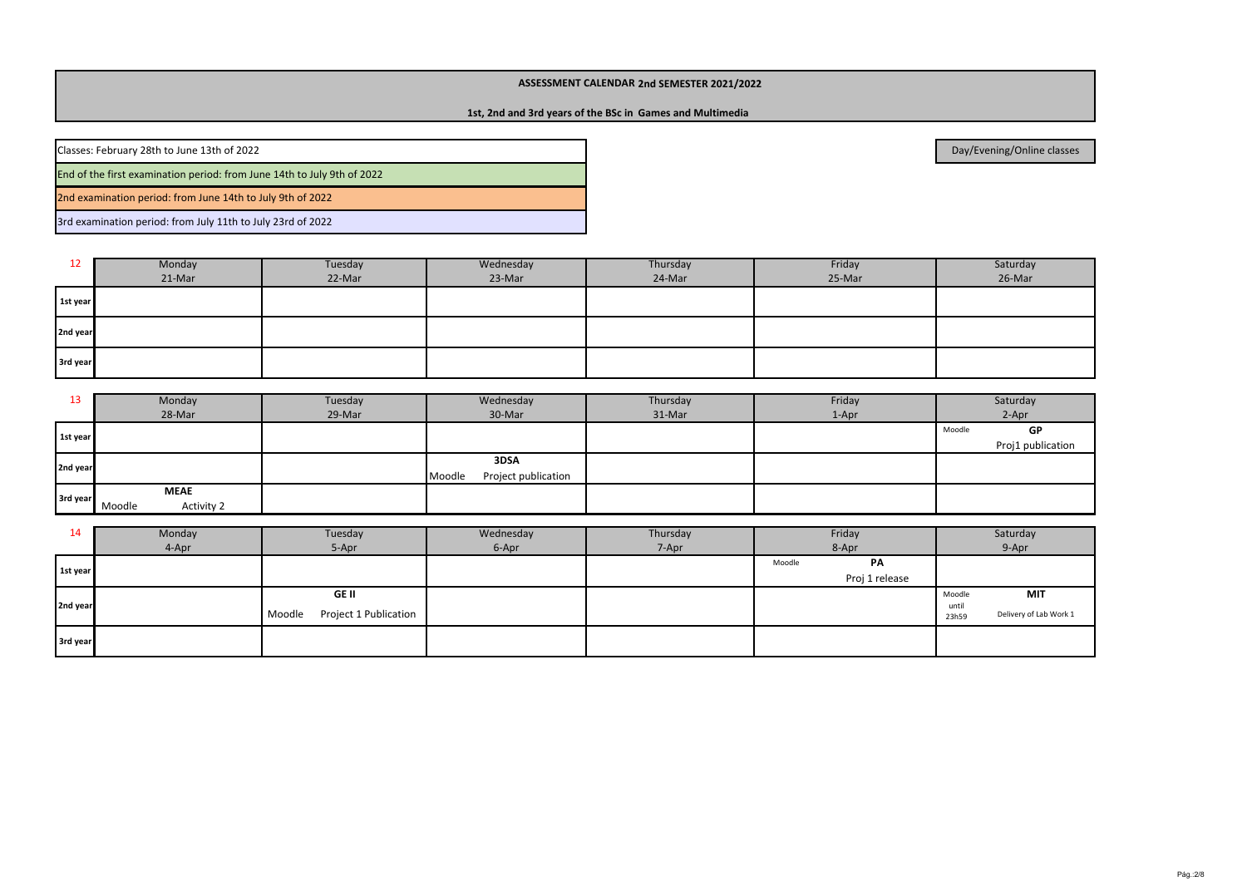## **1st, 2nd and 3rd years of the BSc in Games and Multimedia**

Classes: February 28th to June 13th of 2022

End of the first examination period: from June 14th to July 9th of 2022

2nd examination period: from June 14th to July 9th of 2022

3rd examination period: from July 11th to July 23rd of 2022

| 12       | <b>Monday</b> | Tuesday | Wednesday | Thursday |        | Saturday |  |
|----------|---------------|---------|-----------|----------|--------|----------|--|
|          | 21-Mar        | 22-Mar  | 23-Mar    | 24-Mar   | 25-Mar | 26-Mar   |  |
| 1st year |               |         |           |          |        |          |  |
| 2nd year |               |         |           |          |        |          |  |
| 3rd year |               |         |           |          |        |          |  |

| 13       | Monday               | Tuesday | Wednesday                     | Thursday | Friday  | Saturday          |
|----------|----------------------|---------|-------------------------------|----------|---------|-------------------|
|          | 28-Mar               | 29-Mar  | 30-Mar                        | 31-Mar   | $1-Apr$ | 2-Apr             |
| 1st year |                      |         |                               |          |         | GP<br>Moodle      |
|          |                      |         |                               |          |         | Proj1 publication |
| 2nd year |                      |         | 3DSA                          |          |         |                   |
|          |                      |         | Project publication<br>Moodle |          |         |                   |
| 3rd year | <b>MEAE</b>          |         |                               |          |         |                   |
|          | Activity 2<br>Moodle |         |                               |          |         |                   |

| 14       | Monday | Tuesday                                         | Wednesday | Thursday | Friday |                | Saturday                 |                               |
|----------|--------|-------------------------------------------------|-----------|----------|--------|----------------|--------------------------|-------------------------------|
|          | 4-Apr  | 5-Apr                                           | 6-Apr     | 7-Apr    | 8-Apr  |                | 9-Apr                    |                               |
| 1st year |        |                                                 |           |          | Moodle | PA             |                          |                               |
|          |        |                                                 |           |          |        | Proj 1 release |                          |                               |
| 2nd year |        | <b>GE II</b><br>Project 1 Publication<br>Moodle |           |          |        |                | Moodle<br>until<br>23h59 | MIT<br>Delivery of Lab Work 1 |
| 3rd year |        |                                                 |           |          |        |                |                          |                               |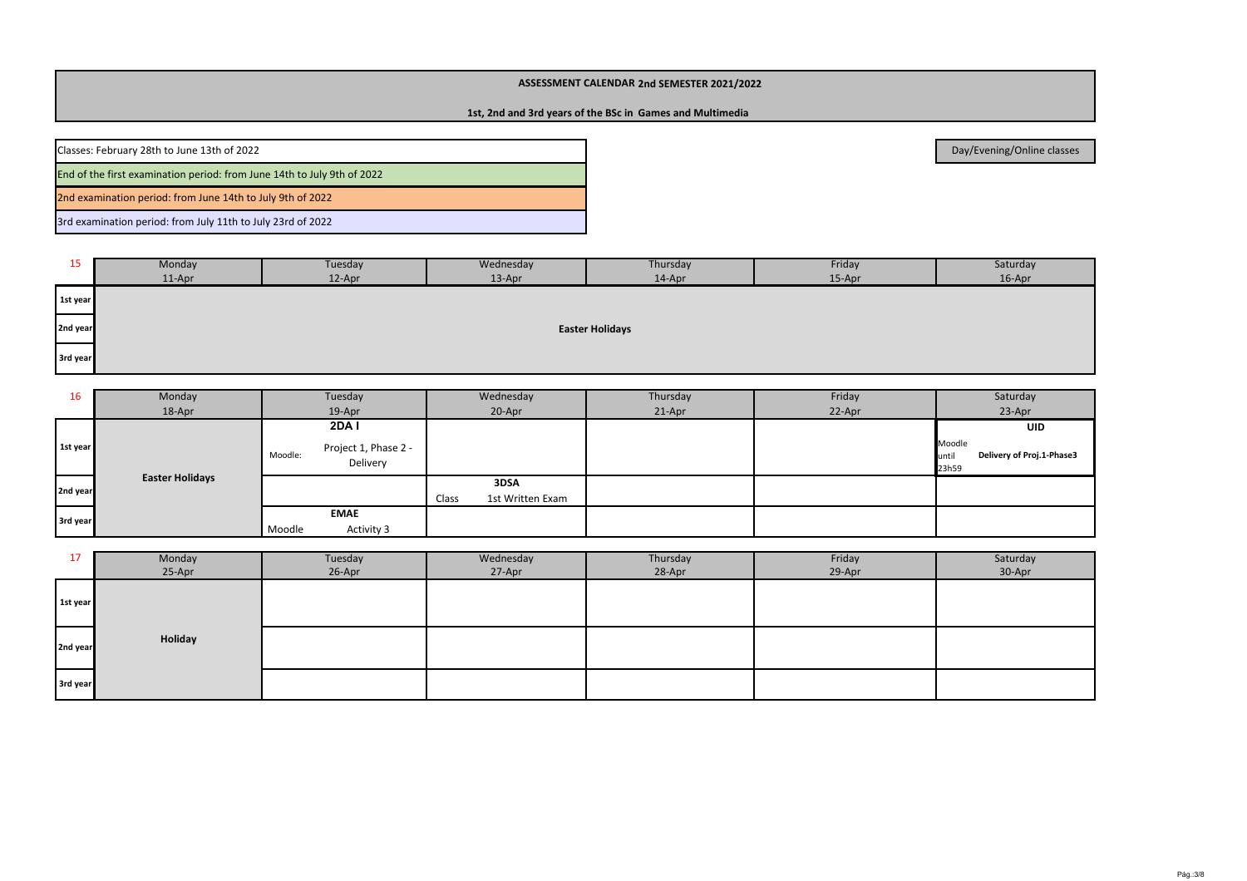## **1st, 2nd and 3rd years of the BSc in Games and Multimedia**

2nd examination period: from June 14th to July 9th of 2022Classes: February 28th to June 13th of 2022End of the first examination period: from June 14th to July 9th of 2022

3rd examination period: from July 11th to July 23rd of 2022

| 15       | Monday                 | Tuesday | Wednesday | Thursday | Friday | Saturday |  |  |  |  |  |
|----------|------------------------|---------|-----------|----------|--------|----------|--|--|--|--|--|
|          | $11-Apr$               | 12-Apr  | 13-Apr    | 14-Apr   | 15-Apr | 16-Apr   |  |  |  |  |  |
| 1st year |                        |         |           |          |        |          |  |  |  |  |  |
| 2nd year | <b>Easter Holidays</b> |         |           |          |        |          |  |  |  |  |  |
| 3rd year |                        |         |           |          |        |          |  |  |  |  |  |

| 16       | Monday                 |         | Tuesday                          |       | Wednesday        | Thursday | Friday | Saturday                                              |
|----------|------------------------|---------|----------------------------------|-------|------------------|----------|--------|-------------------------------------------------------|
|          | 18-Apr                 |         | 19-Apr                           |       | 20-Apr           | 21-Apr   | 22-Apr | 23-Apr                                                |
|          |                        |         | <b>2DA1</b>                      |       |                  |          |        | UID                                                   |
| 1st year |                        | Moodle: | Project 1, Phase 2 -<br>Delivery |       |                  |          |        | Moodle<br>Delivery of Proj.1-Phase3<br>until<br>23h59 |
| 2nd year | <b>Easter Holidays</b> |         |                                  |       | 3DSA             |          |        |                                                       |
|          |                        |         |                                  | Class | 1st Written Exam |          |        |                                                       |
| 3rd year |                        |         | <b>EMAE</b>                      |       |                  |          |        |                                                       |
|          |                        | Moodle  | Activity 3                       |       |                  |          |        |                                                       |

| 17       | Monday  | Tuesday | Wednesday | Thursday | Friday | Saturday |
|----------|---------|---------|-----------|----------|--------|----------|
|          | 25-Apr  | 26-Apr  | 27-Apr    | 28-Apr   | 29-Apr | 30-Apr   |
| 1st year |         |         |           |          |        |          |
| 2nd year | Holiday |         |           |          |        |          |
| 3rd year |         |         |           |          |        |          |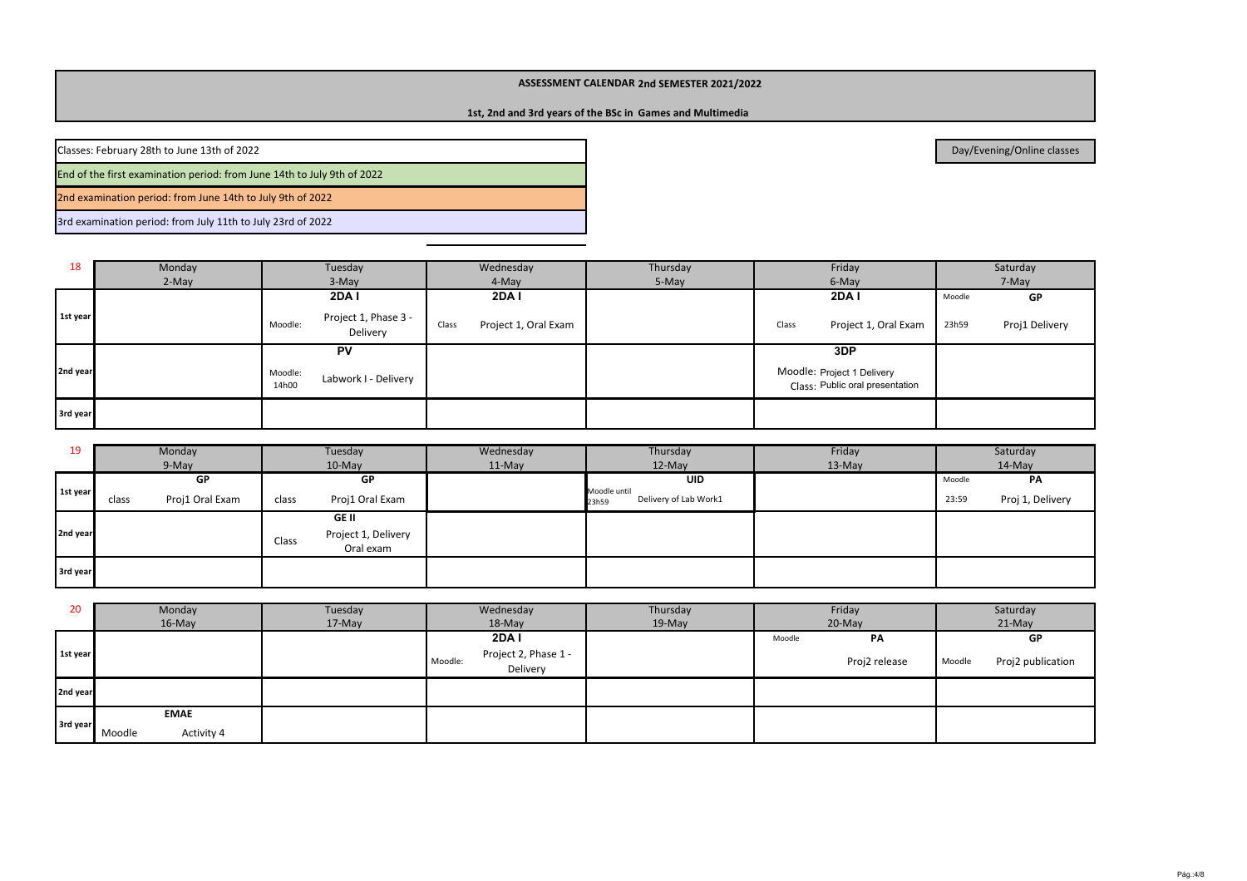## **1st, 2nd and 3rd years of the BSc in Games and Multimedia**

2nd examination period: from June 14th to July 9th of 2022Classes: February 28th to June 13th of 2022End of the first examination period: from June 14th to July 9th of 2022

3rd examination period: from July 11th to July 23rd of 2022

| 18       | Monday | Tuesday                                     | Wednesday                     | Thursday | Friday                                                        | Saturday                |
|----------|--------|---------------------------------------------|-------------------------------|----------|---------------------------------------------------------------|-------------------------|
|          | 2-May  | 3-May                                       | 4-May                         | 5-May    | 6-May                                                         | 7-May                   |
|          |        | 2DA I                                       | <b>2DA1</b>                   |          | <b>2DA1</b>                                                   | GP<br>Moodle            |
| 1st year |        | Project 1, Phase 3 -<br>Moodle:<br>Delivery | Project 1, Oral Exam<br>Class |          | Project 1, Oral Exam<br>Class                                 | Proj1 Delivery<br>23h59 |
|          |        | <b>PV</b>                                   |                               |          | 3DP                                                           |                         |
| 2nd year |        | Moodle:<br>Labwork I - Delivery<br>14h00    |                               |          | Moodle: Project 1 Delivery<br>Class: Public oral presentation |                         |
| 3rd year |        |                                             |                               |          |                                                               |                         |

| 19       | Monday                   | Tuesday                                                   | Wednesday | Thursday                                       | Friday   | Saturday                  |
|----------|--------------------------|-----------------------------------------------------------|-----------|------------------------------------------------|----------|---------------------------|
|          | 9-May                    | $10$ -May                                                 | $11-May$  | 12-May                                         | $13-May$ | 14-May                    |
|          | GP                       | GP                                                        |           | <b>UID</b>                                     |          | PA<br>Moodle              |
| 1st year | Proj1 Oral Exam<br>class | Proj1 Oral Exam<br>class                                  |           | Moodle until<br>Delivery of Lab Work1<br>23h59 |          | Proj 1, Delivery<br>23:59 |
| 2nd year |                          | <b>GE II</b><br>Project 1, Delivery<br>Class<br>Oral exam |           |                                                |          |                           |
| 3rd year |                          |                                                           |           |                                                |          |                           |

| 20       | Monday               | Tuesday | Wednesday                                   | Thursday |          | Friday        | Saturday |                   |
|----------|----------------------|---------|---------------------------------------------|----------|----------|---------------|----------|-------------------|
|          | 16-May               | 17-May  | 18-May                                      | $19-May$ | $20-May$ |               |          | $21-May$          |
|          |                      |         | <b>2DA1</b>                                 |          | Moodle   | PA            |          | GP                |
| 1st year |                      |         | Project 2, Phase 1 -<br>Moodle:<br>Delivery |          |          | Proj2 release | Moodle   | Proj2 publication |
| 2nd year |                      |         |                                             |          |          |               |          |                   |
|          | <b>EMAE</b>          |         |                                             |          |          |               |          |                   |
| 3rd year | Activity 4<br>Moodle |         |                                             |          |          |               |          |                   |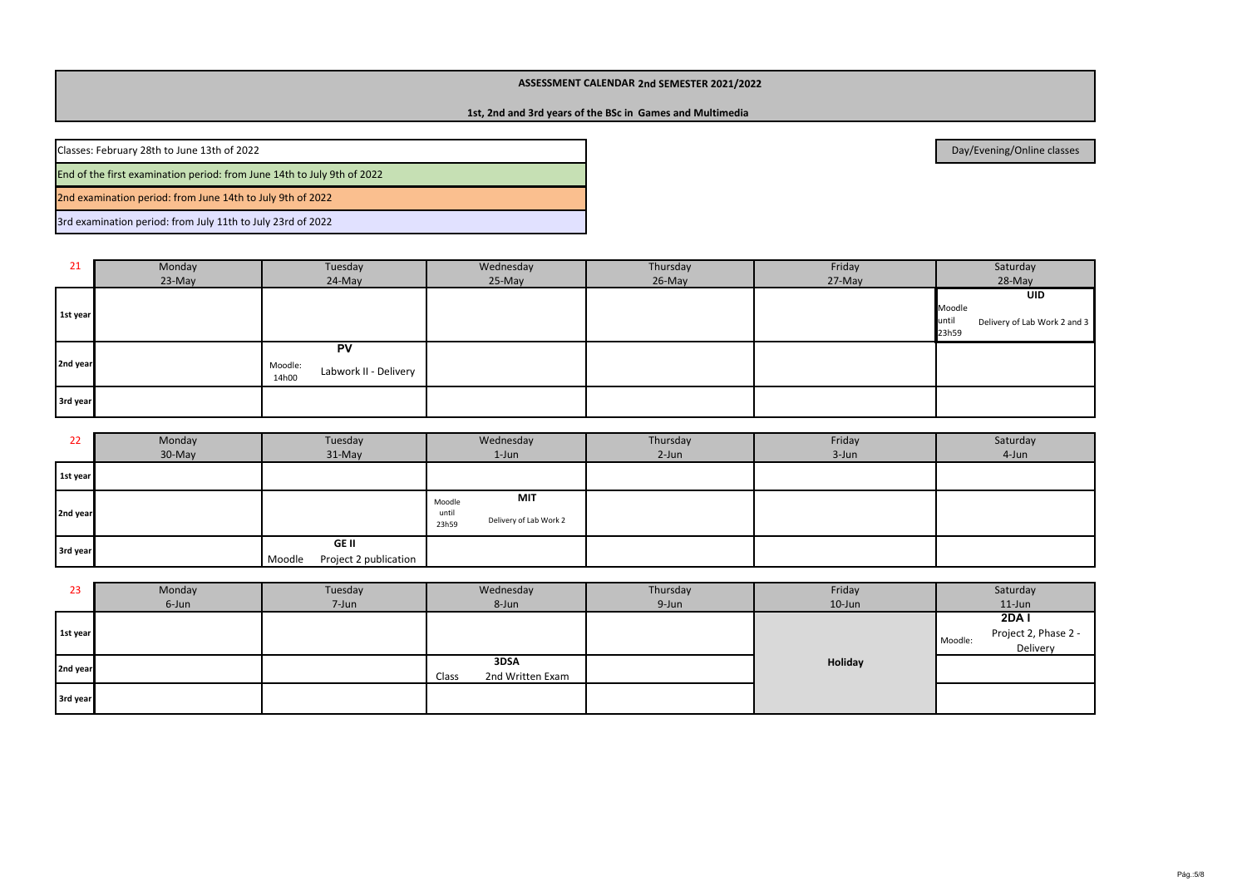## **1st, 2nd and 3rd years of the BSc in Games and Multimedia**

Classes: February 28th to June 13th of 2022

End of the first examination period: from June 14th to July 9th of 2022

2nd examination period: from June 14th to July 9th of 2022

3rd examination period: from July 11th to July 23rd of 2022

| 21       | Monday | Tuesday                                                | Wednesday | Thursday | Friday | Saturday                                                               |
|----------|--------|--------------------------------------------------------|-----------|----------|--------|------------------------------------------------------------------------|
|          | 23-May | 24-May                                                 | 25-May    | 26-May   | 27-May | 28-May                                                                 |
| 1st year |        |                                                        |           |          |        | <b>UID</b><br>Moodle<br>until<br>Delivery of Lab Work 2 and 3<br>23h59 |
| 2nd year |        | <b>PV</b><br>Moodle:<br>Labwork II - Delivery<br>14h00 |           |          |        |                                                                        |
| 3rd year |        |                                                        |           |          |        |                                                                        |

| 22       | Monday<br>30-May | Tuesday<br>$31-May$                      | Wednesday<br>$1$ -Jun                                     | Thursday<br>2-Jun | Friday<br>3-Jun | Saturday<br>4-Jun |
|----------|------------------|------------------------------------------|-----------------------------------------------------------|-------------------|-----------------|-------------------|
| 1st year |                  |                                          |                                                           |                   |                 |                   |
| 2nd year |                  |                                          | MIT<br>Moodle<br>until<br>Delivery of Lab Work 2<br>23h59 |                   |                 |                   |
| 3rd year |                  | GE II<br>Project 2 publication<br>Moodle |                                                           |                   |                 |                   |

| 23       | Monday | Tuesday | Wednesday                         | Thursday | Friday    | Saturday                                            |
|----------|--------|---------|-----------------------------------|----------|-----------|-----------------------------------------------------|
|          | 6-Jun  | 7-Jun   | 8-Jun                             | 9-Jun    | $10$ -Jun | $11$ -Jun                                           |
| 1st year |        |         |                                   |          |           | 2DAI<br>Project 2, Phase 2 -<br>Moodle:<br>Delivery |
| 2nd year |        |         | 3DSA<br>Class<br>2nd Written Exam |          | Holiday   |                                                     |
| 3rd year |        |         |                                   |          |           |                                                     |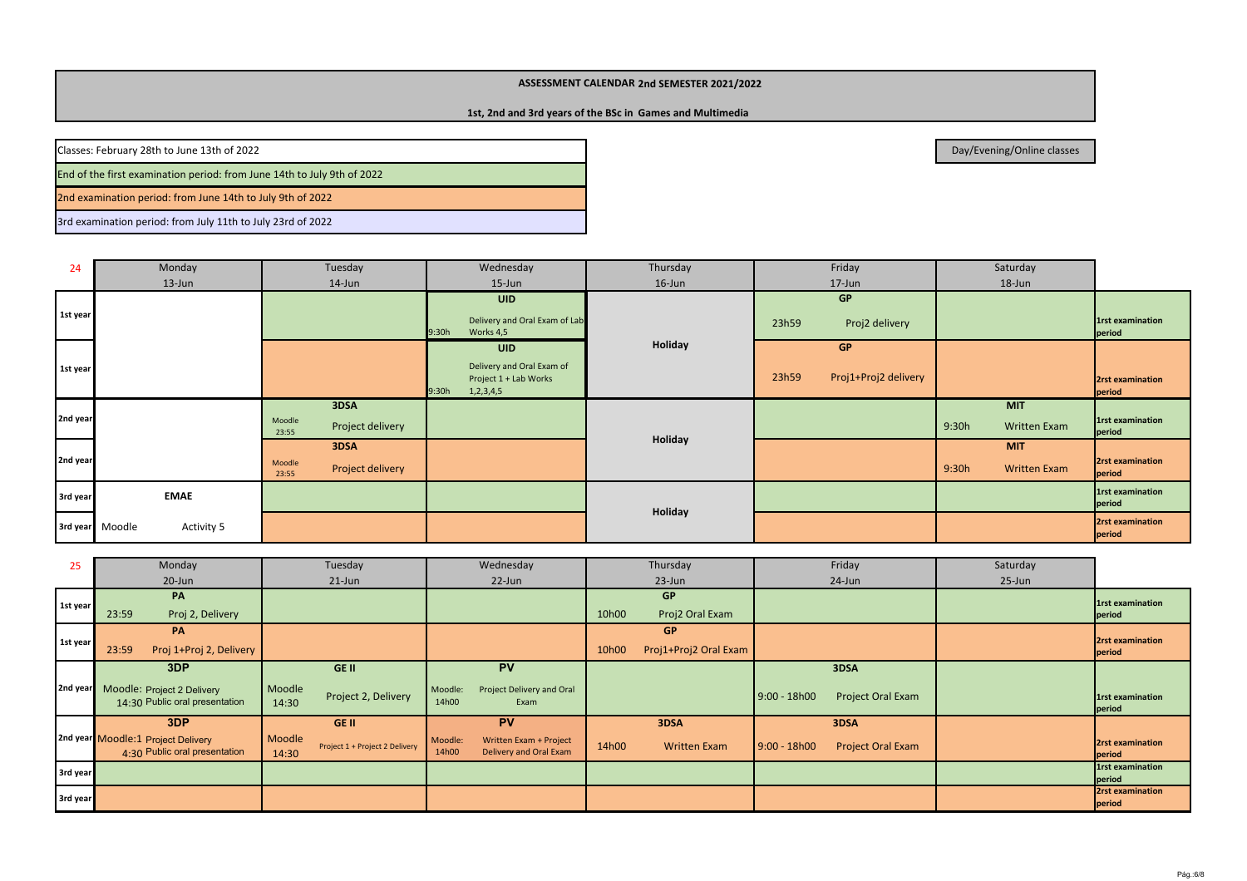## **1st, 2nd and 3rd years of the BSc in Games and Multimedia**

Classes: February 28th to June 13th of 2022

End of the first examination period: from June 14th to July 9th of 2022

2nd examination period: from June 14th to July 9th of 2022

3rd examination period: from July 11th to July 23rd of 2022

| 24       | Monday                        | Tuesday                                     | Wednesday                                                                                  | Thursday | Friday                                     | Saturday                                   |                                   |
|----------|-------------------------------|---------------------------------------------|--------------------------------------------------------------------------------------------|----------|--------------------------------------------|--------------------------------------------|-----------------------------------|
|          | $13 - Jun$                    | 14-Jun                                      | $15$ -Jun                                                                                  | 16-Jun   | 17-Jun                                     | 18-Jun                                     |                                   |
| 1st year |                               |                                             | <b>UID</b><br>Delivery and Oral Exam of Lab<br>9:30h<br>Works 4,5                          |          | <b>GP</b><br>Proj2 delivery<br>23h59       |                                            | <b>1rst examination</b><br>period |
| 1st year |                               |                                             | <b>UID</b><br>Delivery and Oral Exam of<br>Project 1 + Lab Works<br>9:30h<br>1, 2, 3, 4, 5 | Holiday  | <b>GP</b><br>Proj1+Proj2 delivery<br>23h59 |                                            | 2rst examination<br>period        |
| 2nd year |                               | 3DSA<br>Moodle<br>Project delivery<br>23:55 |                                                                                            |          |                                            | <b>MIT</b><br>9:30h<br><b>Written Exam</b> | 1rst examination<br>period        |
| 2nd year |                               | 3DSA<br>Moodle<br>Project delivery<br>23:55 |                                                                                            | Holiday  |                                            | <b>MIT</b><br>9:30h<br><b>Written Exam</b> | 2rst examination<br>period        |
| 3rd year | <b>EMAE</b>                   |                                             |                                                                                            |          |                                            |                                            | 1rst examination<br>period        |
|          | 3rd year Moodle<br>Activity 5 |                                             |                                                                                            | Holiday  |                                            |                                            | 2rst examination<br>period        |

| 25       | Monday                                                              | Tuesday                                           | Wednesday                                                            | Thursday                       | Friday                                     | Saturday   |                                   |
|----------|---------------------------------------------------------------------|---------------------------------------------------|----------------------------------------------------------------------|--------------------------------|--------------------------------------------|------------|-----------------------------------|
|          | 20-Jun                                                              | $21$ -Jun                                         | 22-Jun                                                               | $23 - Jun$                     | 24-Jun                                     | $25 - Jun$ |                                   |
|          | PA                                                                  |                                                   |                                                                      | <b>GP</b>                      |                                            |            | <b>1rst examination</b>           |
| 1st year | Proj 2, Delivery<br>23:59                                           |                                                   |                                                                      | Proj2 Oral Exam<br>10h00       |                                            |            | period                            |
|          | <b>PA</b>                                                           |                                                   |                                                                      | <b>GP</b>                      |                                            |            | <b>2rst examination</b>           |
| 1st year | Proj 1+Proj 2, Delivery<br>23:59                                    |                                                   |                                                                      | Proj1+Proj2 Oral Exam<br>10h00 |                                            |            | period                            |
|          | 3DP                                                                 | GE II                                             | PV                                                                   |                                | 3DSA                                       |            |                                   |
| 2nd year | Moodle: Project 2 Delivery<br>14:30 Public oral presentation        | Moodle<br>Project 2, Delivery<br>14:30            | Project Delivery and Oral<br>Moodle:<br>14h00<br>Exam                |                                | $9:00 - 18h00$<br><b>Project Oral Exam</b> |            | <b>1rst examination</b><br>period |
|          | 3DP                                                                 | <b>GE II</b>                                      | <b>PV</b>                                                            | 3DSA                           | 3DSA                                       |            |                                   |
|          | 2nd year Moodle:1 Project Delivery<br>4:30 Public oral presentation | Moodle<br>Project 1 + Project 2 Delivery<br>14:30 | Written Exam + Project<br>Moodle:<br>14h00<br>Delivery and Oral Exam | 14h00<br><b>Written Exam</b>   | $9:00 - 18h00$<br><b>Project Oral Exam</b> |            | <b>2rst examination</b><br>period |
| 3rd year |                                                                     |                                                   |                                                                      |                                |                                            |            | <b>1rst examination</b><br>period |
|          |                                                                     |                                                   |                                                                      |                                |                                            |            | 2rst examination                  |
| 3rd year |                                                                     |                                                   |                                                                      |                                |                                            |            | period                            |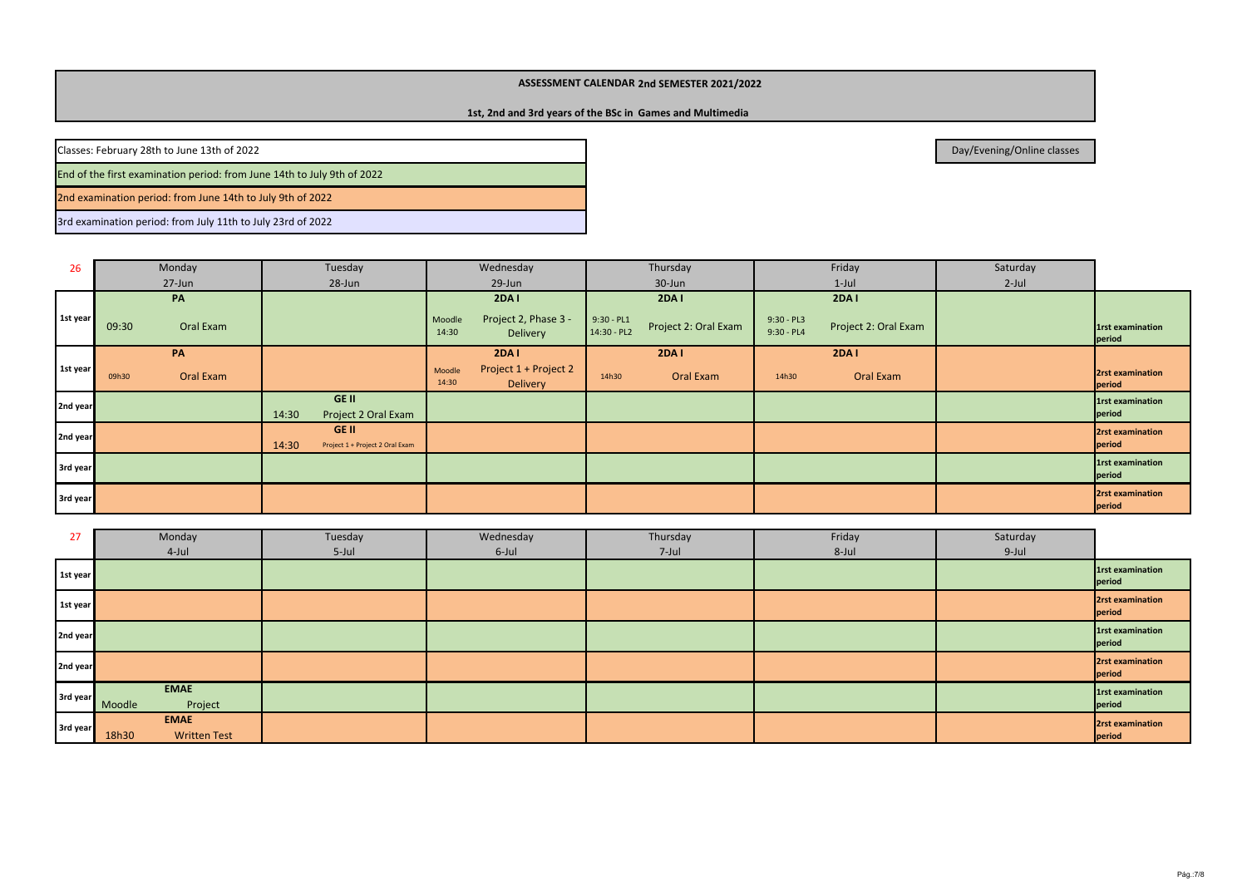# **1st, 2nd and 3rd years of the BSc in Games and Multimedia**

Classes: February 28th to June 13th of 2022

End of the first examination period: from June 14th to July 9th of 2022

2nd examination period: from June 14th to July 9th of 2022

3rd examination period: from July 11th to July 23rd of 2022

| 26       | Monday                   | Tuesday                                           | Wednesday                                                   | Thursday                                      | Friday                                        | Saturday |                            |
|----------|--------------------------|---------------------------------------------------|-------------------------------------------------------------|-----------------------------------------------|-----------------------------------------------|----------|----------------------------|
|          | 27-Jun                   | 28-Jun                                            | 29-Jun                                                      | 30-Jun                                        | $1$ -Jul                                      | $2$ -Jul |                            |
| 1st year | PA<br>Oral Exam<br>09:30 |                                                   | 2DA I<br>Project 2, Phase 3 -<br>Moodle                     | 2DA I<br>$9:30 - PL1$<br>Project 2: Oral Exam | 2DA I<br>$9:30 - PL3$<br>Project 2: Oral Exam |          | 1rst examination           |
|          |                          |                                                   | 14:30<br>Delivery                                           | 14:30 - PL2                                   | $9:30 - PL4$                                  |          | period                     |
|          | PA                       |                                                   | 2DA I                                                       | <b>2DA1</b>                                   | <b>2DA1</b>                                   |          |                            |
| 1st year | Oral Exam<br>09h30       |                                                   | Project 1 + Project 2<br>Moodle<br>14:30<br><b>Delivery</b> | Oral Exam<br>14h30                            | Oral Exam<br>14h30                            |          | 2rst examination<br>period |
| 2nd year |                          | GE II<br>Project 2 Oral Exam<br>14:30             |                                                             |                                               |                                               |          | 1rst examination<br>period |
| 2nd year |                          | GE II<br>14:30<br>Project 1 + Project 2 Oral Exam |                                                             |                                               |                                               |          | 2rst examination<br>period |
| 3rd year |                          |                                                   |                                                             |                                               |                                               |          | 1rst examination<br>period |
| 3rd year |                          |                                                   |                                                             |                                               |                                               |          | 2rst examination<br>period |

| 27       | Monday                       | Tuesday | Wednesday | Thursday | Friday | Saturday |                                   |
|----------|------------------------------|---------|-----------|----------|--------|----------|-----------------------------------|
|          | 4-Jul                        | 5-Jul   | 6-Jul     | 7-Jul    | 8-Jul  | 9-Jul    |                                   |
| 1st year |                              |         |           |          |        |          | 1rst examination<br>period        |
| 1st year |                              |         |           |          |        |          | 2rst examination<br>period        |
| 2nd year |                              |         |           |          |        |          | <b>1rst examination</b><br>period |
| 2nd year |                              |         |           |          |        |          | 2rst examination<br>period        |
| 3rd year | <b>EMAE</b>                  |         |           |          |        |          | <b>1rst examination</b>           |
|          | Project<br>Moodle            |         |           |          |        |          | period                            |
| 3rd year | <b>EMAE</b>                  |         |           |          |        |          | 2rst examination                  |
|          | 18h30<br><b>Written Test</b> |         |           |          |        |          | period                            |